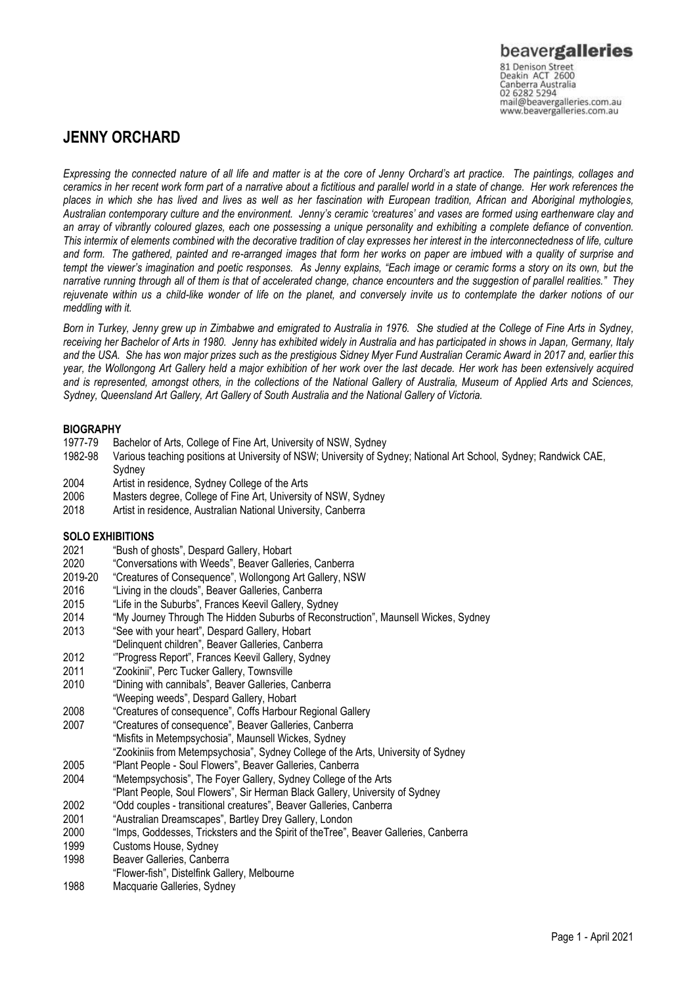### **JENNY ORCHARD**

*Expressing the connected nature of all life and matter is at the core of Jenny Orchard's art practice. The paintings, collages and ceramics in her recent work form part of a narrative about a fictitious and parallel world in a state of change. Her work references the places in which she has lived and lives as well as her fascination with European tradition, African and Aboriginal mythologies, Australian contemporary culture and the environment. Jenny's ceramic 'creatures' and vases are formed using earthenware clay and an array of vibrantly coloured glazes, each one possessing a unique personality and exhibiting a complete defiance of convention. This intermix of elements combined with the decorative tradition of clay expresses her interest in the interconnectedness of life, culture and form. The gathered, painted and re-arranged images that form her works on paper are imbued with a quality of surprise and tempt the viewer's imagination and poetic responses. As Jenny explains, "Each image or ceramic forms a story on its own, but the narrative running through all of them is that of accelerated change, chance encounters and the suggestion of parallel realities."* They *rejuvenate within us a child-like wonder of life on the planet, and conversely invite us to contemplate the darker notions of our meddling with it.*

*Born in Turkey, Jenny grew up in Zimbabwe and emigrated to Australia in 1976. She studied at the College of Fine Arts in Sydney, receiving her Bachelor of Arts in 1980. Jenny has exhibited widely in Australia and has participated in shows in Japan, Germany, Italy and the USA. She has won major prizes such as the prestigious Sidney Myer Fund Australian Ceramic Award in 2017 and, earlier this year, the Wollongong Art Gallery held a major exhibition of her work over the last decade. Her work has been extensively acquired and is represented, amongst others, in the collections of the National Gallery of Australia, Museum of Applied Arts and Sciences, Sydney, Queensland Art Gallery, Art Gallery of South Australia and the National Gallery of Victoria.*

### **BIOGRAPHY**

- 1977-79 Bachelor of Arts, College of Fine Art, University of NSW, Sydney<br>1982-98 Various teaching positions at University of NSW; University of Sy
- 1982-98 Various teaching positions at University of NSW; University of Sydney; National Art School, Sydney; Randwick CAE, Sydney
- 2004 Artist in residence, Sydney College of the Arts
- 2006 Masters degree, College of Fine Art, University of NSW, Sydney<br>2018 Artist in residence Australian National University Canberra
- Artist in residence, Australian National University, Canberra

# **SOLO EXHIBITIONS**<br>2021 **"Bush of a**"

- 2021 "Bush of ghosts", Despard Gallery, Hobart
- "Conversations with Weeds", Beaver Galleries, Canberra
- 2019-20 "Creatures of Consequence", Wollongong Art Gallery, NSW
- 2016 "Living in the clouds", Beaver Galleries, Canberra
- 2015 "Life in the Suburbs", Frances Keevil Gallery, Sydney
- 2014 "My Journey Through The Hidden Suburbs of Reconstruction", Maunsell Wickes, Sydney
- 2013 "See with your heart", Despard Gallery, Hobart
- "Delinquent children", Beaver Galleries, Canberra
- 2012 '"Progress Report", Frances Keevil Gallery, Sydney
- 
- 2011 "Zookinii", Perc Tucker Gallery, Townsville<br>2010 "Dining with cannibals", Beaver Galleries, C "Dining with cannibals", Beaver Galleries, Canberra
- "Weeping weeds", Despard Gallery, Hobart
- 2008 "Creatures of consequence", Coffs Harbour Regional Gallery
- 2007 "Creatures of consequence", Beaver Galleries, Canberra "Misfits in Metempsychosia", Maunsell Wickes, Sydney
	- "Zookiniis from Metempsychosia", Sydney College of the Arts, University of Sydney
- 2005 "Plant People Soul Flowers", Beaver Galleries, Canberra
- 2004 "Metempsychosis", The Foyer Gallery, Sydney College of the Arts
- "Plant People, Soul Flowers", Sir Herman Black Gallery, University of Sydney
- 2002 "Odd couples transitional creatures", Beaver Galleries, Canberra
- 2001 "Australian Dreamscapes", Bartley Drey Gallery, London
- 2000 "Imps, Goddesses, Tricksters and the Spirit of theTree", Beaver Galleries, Canberra
- 1999 Customs House, Sydney
- 1998 Beaver Galleries, Canberra
- "Flower-fish", Distelfink Gallery, Melbourne
- 1988 Macquarie Galleries, Sydney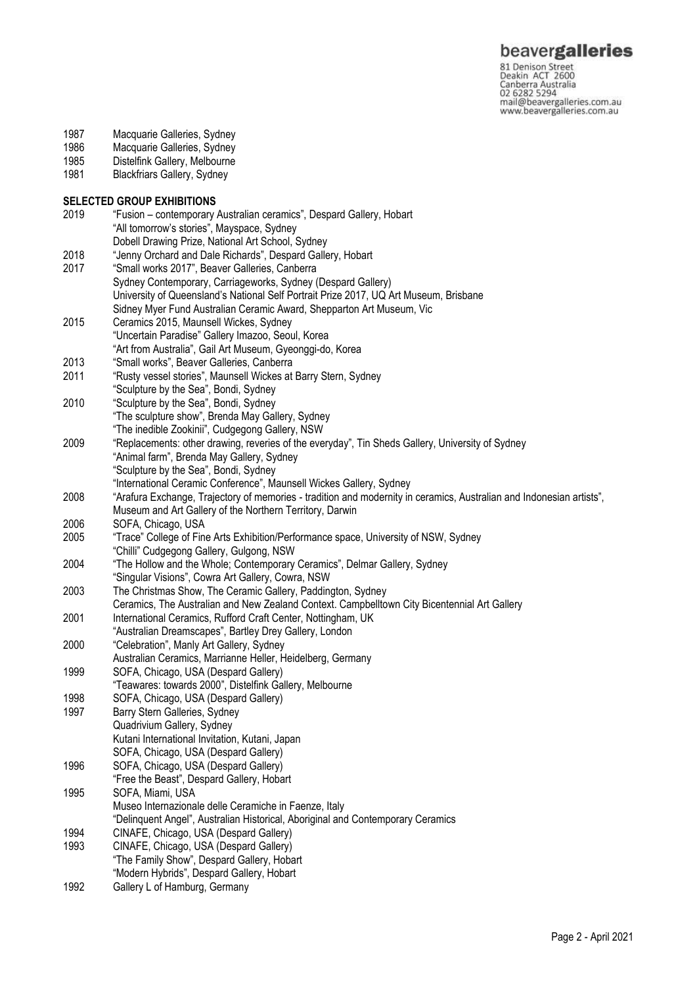81 Denison Street<br>Deakin ACT 2600 Canberra Australia mail@beavergalleries.com.au www.beavergalleries.com.au

- 1987 Macquarie Galleries, Sydney<br>1986 Macquarie Galleries, Sydney
- 1986 Macquarie Galleries, Sydney<br>1985 Distelfink Gallery, Melbourne
- 1985 Distelfink Gallery, Melbourne<br>1981 Blackfriars Gallery, Sydney
- Blackfriars Gallery, Sydney

## **SELECTED GROUP EXHIBITIONS**<br>2019 • "Fusion – contemporary

2019 "Fusion – contemporary Australian ceramics", Despard Gallery, Hobart "All tomorrow's stories", Mayspace, Sydney Dobell Drawing Prize, National Art School, Sydney 2018 "Jenny Orchard and Dale Richards", Despard Gallery, Hobart 2017 "Small works 2017", Beaver Galleries, Canberra Sydney Contemporary, Carriageworks, Sydney (Despard Gallery) University of Queensland's National Self Portrait Prize 2017, UQ Art Museum, Brisbane Sidney Myer Fund Australian Ceramic Award, Shepparton Art Museum, Vic 2015 Ceramics 2015, Maunsell Wickes, Sydney "Uncertain Paradise" Gallery Imazoo, Seoul, Korea "Art from Australia", Gail Art Museum, Gyeonggi-do, Korea 2013 "Small works", Beaver Galleries, Canberra 2011 "Rusty vessel stories", Maunsell Wickes at Barry Stern, Sydney "Sculpture by the Sea", Bondi, Sydney 2010 "Sculpture by the Sea", Bondi, Sydney "The sculpture show", Brenda May Gallery, Sydney "The inedible Zookinii", Cudgegong Gallery, NSW 2009 "Replacements: other drawing, reveries of the everyday", Tin Sheds Gallery, University of Sydney "Animal farm", Brenda May Gallery, Sydney "Sculpture by the Sea", Bondi, Sydney "International Ceramic Conference", Maunsell Wickes Gallery, Sydney 2008 "Arafura Exchange, Trajectory of memories - tradition and modernity in ceramics, Australian and Indonesian artists", Museum and Art Gallery of the Northern Territory, Darwin 2006 SOFA, Chicago, USA 2005 "Trace" College of Fine Arts Exhibition/Performance space, University of NSW, Sydney "Chilli" Cudgegong Gallery, Gulgong, NSW 2004 "The Hollow and the Whole; Contemporary Ceramics", Delmar Gallery, Sydney "Singular Visions", Cowra Art Gallery, Cowra, NSW 2003 The Christmas Show, The Ceramic Gallery, Paddington, Sydney Ceramics, The Australian and New Zealand Context. Campbelltown City Bicentennial Art Gallery 2001 International Ceramics, Rufford Craft Center, Nottingham, UK "Australian Dreamscapes", Bartley Drey Gallery, London 2000 "Celebration", Manly Art Gallery, Sydney Australian Ceramics, Marrianne Heller, Heidelberg, Germany 1999 SOFA, Chicago, USA (Despard Gallery) "Teawares: towards 2000", Distelfink Gallery, Melbourne 1998 SOFA, Chicago, USA (Despard Gallery)<br>1997 Barry Stern Galleries. Sydney Barry Stern Galleries, Sydney Quadrivium Gallery, Sydney Kutani International Invitation, Kutani, Japan SOFA, Chicago, USA (Despard Gallery) 1996 SOFA, Chicago, USA (Despard Gallery) "Free the Beast", Despard Gallery, Hobart 1995 SOFA, Miami, USA Museo Internazionale delle Ceramiche in Faenze, Italy "Delinquent Angel", Australian Historical, Aboriginal and Contemporary Ceramics 1994 CINAFE, Chicago, USA (Despard Gallery) 1993 CINAFE, Chicago, USA (Despard Gallery) "The Family Show", Despard Gallery, Hobart "Modern Hybrids", Despard Gallery, Hobart 1992 Gallery L of Hamburg, Germany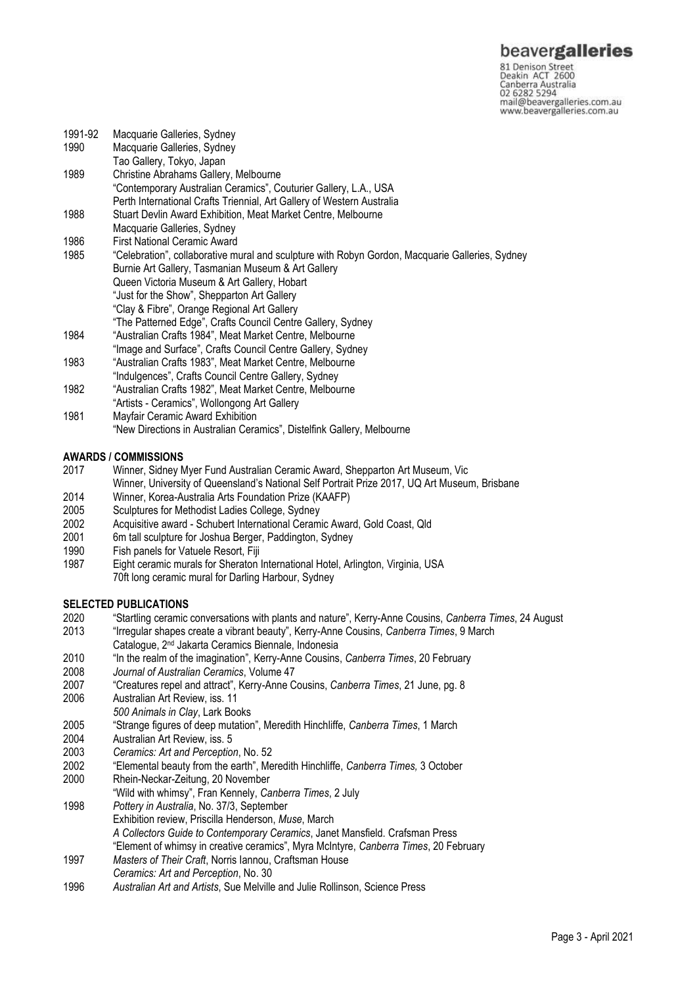### beavergalleries

81 Denison Street<br>Deakin ACT 2600 Canberra Australia mail@beavergalleries.com.au www.beavergalleries.com.au

1991-92 Macquarie Galleries, Sydney<br>1990 Macquarie Galleries, Sydney Macquarie Galleries, Sydney Tao Gallery, Tokyo, Japan 1989 Christine Abrahams Gallery, Melbourne "Contemporary Australian Ceramics", Couturier Gallery, L.A., USA Perth International Crafts Triennial, Art Gallery of Western Australia 1988 Stuart Devlin Award Exhibition, Meat Market Centre, Melbourne Macquarie Galleries, Sydney 1986 First National Ceramic Award<br>1985 "Celebration", collaborative mi 1985 "Celebration", collaborative mural and sculpture with Robyn Gordon, Macquarie Galleries, Sydney Burnie Art Gallery, Tasmanian Museum & Art Gallery Queen Victoria Museum & Art Gallery, Hobart "Just for the Show", Shepparton Art Gallery "Clay & Fibre", Orange Regional Art Gallery "The Patterned Edge", Crafts Council Centre Gallery, Sydney 1984 "Australian Crafts 1984", Meat Market Centre, Melbourne "Image and Surface", Crafts Council Centre Gallery, Sydney 1983 "Australian Crafts 1983", Meat Market Centre, Melbourne "Indulgences", Crafts Council Centre Gallery, Sydney 1982 "Australian Crafts 1982", Meat Market Centre, Melbourne "Artists - Ceramics", Wollongong Art Gallery 1981 Mayfair Ceramic Award Exhibition "New Directions in Australian Ceramics", Distelfink Gallery, Melbourne

### **AWARDS / COMMISSIONS**

- 2017 Winner, Sidney Myer Fund Australian Ceramic Award, Shepparton Art Museum, Vic
- Winner, University of Queensland's National Self Portrait Prize 2017, UQ Art Museum, Brisbane
- 2014 Winner, Korea-Australia Arts Foundation Prize (KAAFP)
- 2005 Sculptures for Methodist Ladies College, Sydney
- 2002 Acquisitive award Schubert International Ceramic Award, Gold Coast, Qld
- 6m tall sculpture for Joshua Berger, Paddington, Sydney
- 1990 Fish panels for Vatuele Resort, Fiji
- 1987 Eight ceramic murals for Sheraton International Hotel, Arlington, Virginia, USA 70ft long ceramic mural for Darling Harbour, Sydney

### **SELECTED PUBLICATIONS**

- 2020 "Startling ceramic conversations with plants and nature", Kerry-Anne Cousins, *Canberra Times*, 24 August
- 2013 "Irregular shapes create a vibrant beauty", Kerry-Anne Cousins, *Canberra Times*, 9 March Catalogue, 2nd Jakarta Ceramics Biennale, Indonesia
- 2010 "In the realm of the imagination", Kerry-Anne Cousins, *Canberra Times*, 20 February
- 
- 2008 *Journal of Australian Ceramics*, Volume 47 2007 "Creatures repel and attract", Kerry-Anne Cousins, *Canberra Times*, 21 June, pg. 8
- Australian Art Review, iss. 11
- *500 Animals in Clay*, Lark Books
- 2005 "Strange figures of deep mutation", Meredith Hinchliffe, *Canberra Times*, 1 March
- 2004 Australian Art Review, iss. 5
- 2003 *Ceramics: Art and Perception*, No. 52
- 2002 "Elemental beauty from the earth", Meredith Hinchliffe, *Canberra Times,* 3 October
- 2000 Rhein-Neckar-Zeitung, 20 November
- "Wild with whimsy", Fran Kennely, *Canberra Times*, 2 July
- 1998 *Pottery in Australia*, No. 37/3, September Exhibition review, Priscilla Henderson, *Muse*, March *A Collectors Guide to Contemporary Ceramics*, Janet Mansfield. Crafsman Press "Element of whimsy in creative ceramics", Myra McIntyre, *Canberra Times*, 20 February
- 1997 *Masters of Their Craft*, Norris Iannou, Craftsman House
- *Ceramics: Art and Perception*, No. 30
- 1996 *Australian Art and Artists*, Sue Melville and Julie Rollinson, Science Press